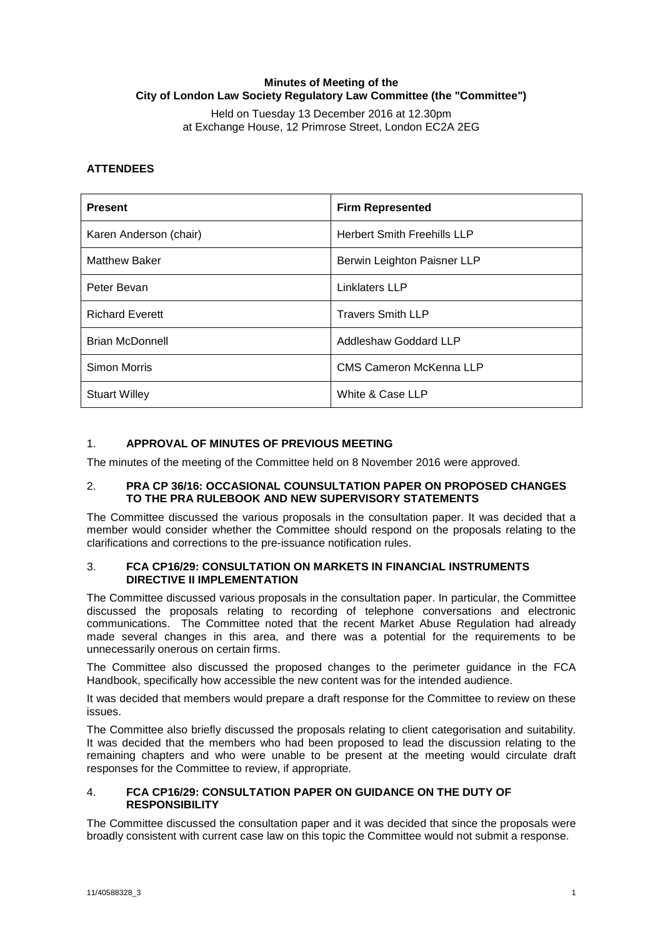# **Minutes of Meeting of the City of London Law Society Regulatory Law Committee (the "Committee")**

Held on Tuesday 13 December 2016 at 12.30pm at Exchange House, 12 Primrose Street, London EC2A 2EG

# **ATTENDEES**

| <b>Present</b>         | <b>Firm Represented</b>            |
|------------------------|------------------------------------|
| Karen Anderson (chair) | <b>Herbert Smith Freehills LLP</b> |
| <b>Matthew Baker</b>   | Berwin Leighton Paisner LLP        |
| Peter Bevan            | Linklaters LLP                     |
| <b>Richard Everett</b> | <b>Travers Smith LLP</b>           |
| <b>Brian McDonnell</b> | Addleshaw Goddard LLP              |
| <b>Simon Morris</b>    | <b>CMS Cameron McKenna LLP</b>     |
| <b>Stuart Willey</b>   | White & Case LLP                   |

# 1. **APPROVAL OF MINUTES OF PREVIOUS MEETING**

The minutes of the meeting of the Committee held on 8 November 2016 were approved.

## 2. **PRA CP 36/16: OCCASIONAL COUNSULTATION PAPER ON PROPOSED CHANGES TO THE PRA RULEBOOK AND NEW SUPERVISORY STATEMENTS**

The Committee discussed the various proposals in the consultation paper. It was decided that a member would consider whether the Committee should respond on the proposals relating to the clarifications and corrections to the pre-issuance notification rules.

## 3. **FCA CP16/29: CONSULTATION ON MARKETS IN FINANCIAL INSTRUMENTS DIRECTIVE II IMPLEMENTATION**

The Committee discussed various proposals in the consultation paper. In particular, the Committee discussed the proposals relating to recording of telephone conversations and electronic communications. The Committee noted that the recent Market Abuse Regulation had already made several changes in this area, and there was a potential for the requirements to be unnecessarily onerous on certain firms.

The Committee also discussed the proposed changes to the perimeter guidance in the FCA Handbook, specifically how accessible the new content was for the intended audience.

It was decided that members would prepare a draft response for the Committee to review on these issues.

The Committee also briefly discussed the proposals relating to client categorisation and suitability. It was decided that the members who had been proposed to lead the discussion relating to the remaining chapters and who were unable to be present at the meeting would circulate draft responses for the Committee to review, if appropriate.

#### 4. **FCA CP16/29: CONSULTATION PAPER ON GUIDANCE ON THE DUTY OF RESPONSIBILITY**

The Committee discussed the consultation paper and it was decided that since the proposals were broadly consistent with current case law on this topic the Committee would not submit a response.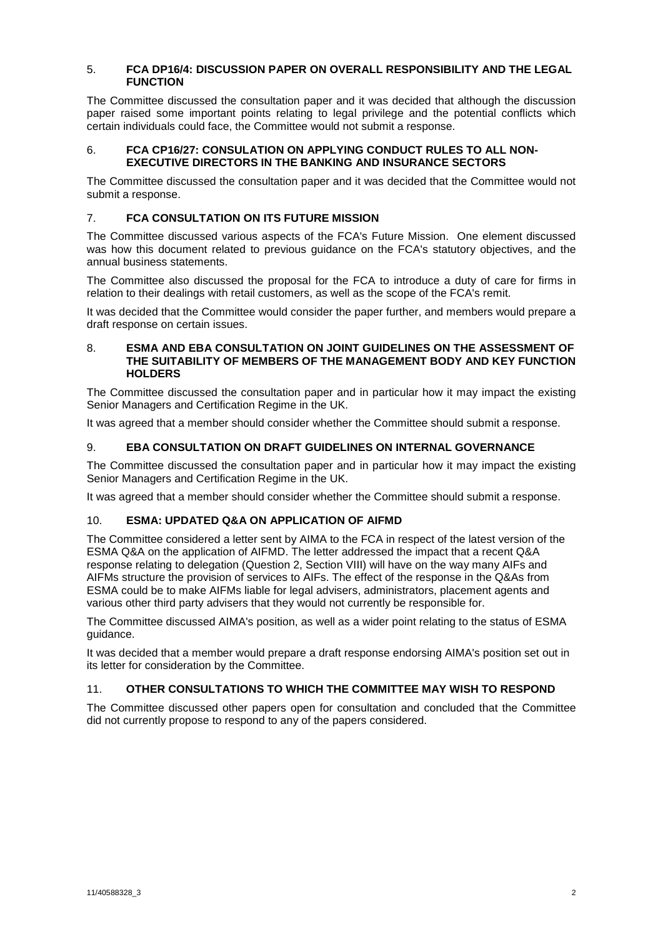## 5. **FCA DP16/4: DISCUSSION PAPER ON OVERALL RESPONSIBILITY AND THE LEGAL FUNCTION**

The Committee discussed the consultation paper and it was decided that although the discussion paper raised some important points relating to legal privilege and the potential conflicts which certain individuals could face, the Committee would not submit a response.

## 6. **FCA CP16/27: CONSULATION ON APPLYING CONDUCT RULES TO ALL NON-EXECUTIVE DIRECTORS IN THE BANKING AND INSURANCE SECTORS**

The Committee discussed the consultation paper and it was decided that the Committee would not submit a response.

# 7. **FCA CONSULTATION ON ITS FUTURE MISSION**

The Committee discussed various aspects of the FCA's Future Mission. One element discussed was how this document related to previous guidance on the FCA's statutory objectives, and the annual business statements.

The Committee also discussed the proposal for the FCA to introduce a duty of care for firms in relation to their dealings with retail customers, as well as the scope of the FCA's remit.

It was decided that the Committee would consider the paper further, and members would prepare a draft response on certain issues.

## 8. **ESMA AND EBA CONSULTATION ON JOINT GUIDELINES ON THE ASSESSMENT OF THE SUITABILITY OF MEMBERS OF THE MANAGEMENT BODY AND KEY FUNCTION HOLDERS**

The Committee discussed the consultation paper and in particular how it may impact the existing Senior Managers and Certification Regime in the UK.

It was agreed that a member should consider whether the Committee should submit a response.

# 9. **EBA CONSULTATION ON DRAFT GUIDELINES ON INTERNAL GOVERNANCE**

The Committee discussed the consultation paper and in particular how it may impact the existing Senior Managers and Certification Regime in the UK.

It was agreed that a member should consider whether the Committee should submit a response.

# 10. **ESMA: UPDATED Q&A ON APPLICATION OF AIFMD**

The Committee considered a letter sent by AIMA to the FCA in respect of the latest version of the ESMA Q&A on the application of AIFMD. The letter addressed the impact that a recent Q&A response relating to delegation (Question 2, Section VIII) will have on the way many AIFs and AIFMs structure the provision of services to AIFs. The effect of the response in the Q&As from ESMA could be to make AIFMs liable for legal advisers, administrators, placement agents and various other third party advisers that they would not currently be responsible for.

The Committee discussed AIMA's position, as well as a wider point relating to the status of ESMA guidance.

It was decided that a member would prepare a draft response endorsing AIMA's position set out in its letter for consideration by the Committee.

# 11. **OTHER CONSULTATIONS TO WHICH THE COMMITTEE MAY WISH TO RESPOND**

The Committee discussed other papers open for consultation and concluded that the Committee did not currently propose to respond to any of the papers considered.